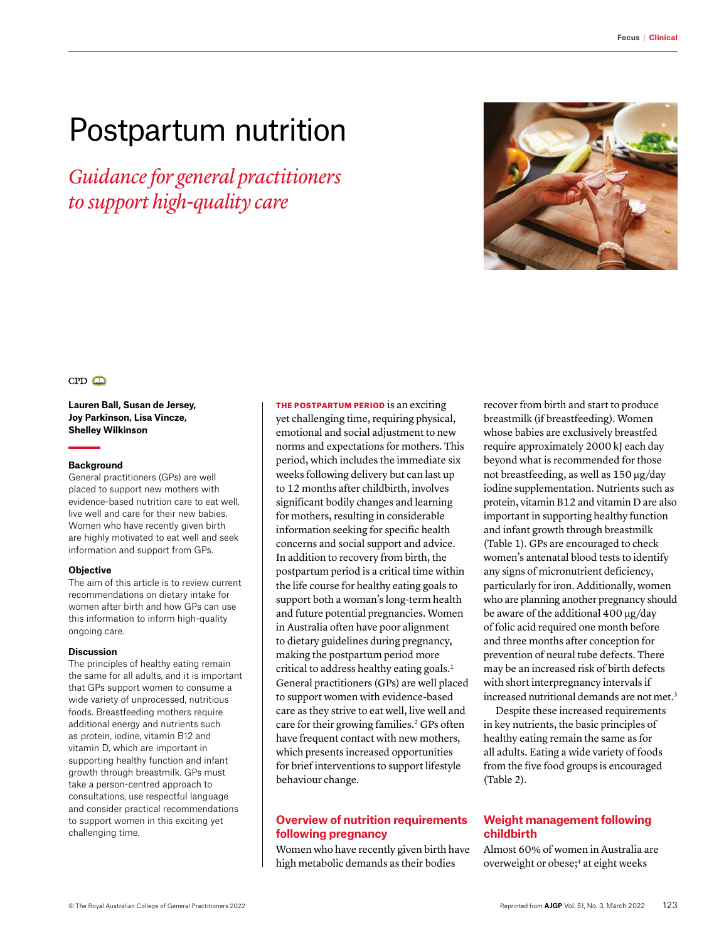# Postpartum nutrition

*Guidance for general practitioners to support high-quality care*



### $CPD$

**Lauren Ball, Susan de Jersey, Joy Parkinson, Lisa Vincze, Shelley Wilkinson**

#### **Background**

General practitioners (GPs) are well placed to support new mothers with evidence-based nutrition care to eat well, live well and care for their new babies. Women who have recently given birth are highly motivated to eat well and seek information and support from GPs.

#### **Objective**

The aim of this article is to review current recommendations on dietary intake for women after birth and how GPs can use this information to inform high-quality ongoing care.

#### **Discussion**

The principles of healthy eating remain the same for all adults, and it is important that GPs support women to consume a wide variety of unprocessed, nutritious foods. Breastfeeding mothers require additional energy and nutrients such as protein, iodine, vitamin B12 and vitamin D, which are important in supporting healthy function and infant growth through breastmilk. GPs must take a person-centred approach to consultations, use respectful language and consider practical recommendations to support women in this exciting yet challenging time.

THE POSTPARTUM PERIOD is an exciting yet challenging time, requiring physical, emotional and social adjustment to new norms and expectations for mothers. This period, which includes the immediate six weeks following delivery but can last up to 12 months after childbirth, involves significant bodily changes and learning for mothers, resulting in considerable information seeking for specific health concerns and social support and advice. In addition to recovery from birth, the postpartum period is a critical time within the life course for healthy eating goals to support both a woman's long-term health and future potential pregnancies. Women in Australia often have poor alignment to dietary guidelines during pregnancy, making the postpartum period more critical to address healthy eating goals.1 General practitioners (GPs) are well placed to support women with evidence-based care as they strive to eat well, live well and care for their growing families.<sup>2</sup> GPs often have frequent contact with new mothers, which presents increased opportunities for brief interventions to support lifestyle behaviour change.

# **Overview of nutrition requirements following pregnancy**

Women who have recently given birth have high metabolic demands as their bodies

recover from birth and start to produce breastmilk (if breastfeeding). Women whose babies are exclusively breastfed require approximately 2000 kJ each day beyond what is recommended for those not breastfeeding, as well as 150 µg/day iodine supplementation. Nutrients such as protein, vitamin B12 and vitamin D are also important in supporting healthy function and infant growth through breastmilk (Table 1). GPs are encouraged to check women's antenatal blood tests to identify any signs of micronutrient deficiency, particularly for iron. Additionally, women who are planning another pregnancy should be aware of the additional 400 µg/day of folic acid required one month before and three months after conception for prevention of neural tube defects. There may be an increased risk of birth defects with short interpregnancy intervals if increased nutritional demands are not met.<sup>3</sup>

Despite these increased requirements in key nutrients, the basic principles of healthy eating remain the same as for all adults. Eating a wide variety of foods from the five food groups is encouraged (Table 2).

# **Weight management following childbirth**

Almost 60% of women in Australia are overweight or obese;<sup>4</sup> at eight weeks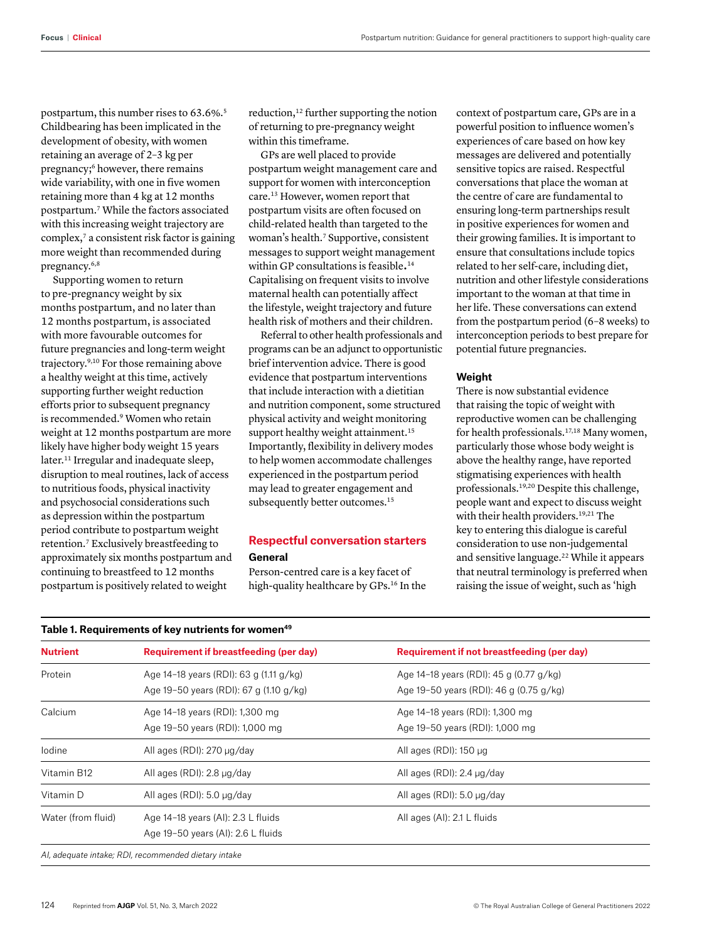postpartum, this number rises to 63.6%.5 Childbearing has been implicated in the development of obesity, with women retaining an average of 2–3 kg per pregnancy;6 however, there remains wide variability, with one in five women retaining more than 4 kg at 12 months postpartum.7 While the factors associated with this increasing weight trajectory are complex,7 a consistent risk factor is gaining more weight than recommended during pregnancy.6,8

Supporting women to return to pre-pregnancy weight by six months postpartum, and no later than 12 months postpartum, is associated with more favourable outcomes for future pregnancies and long-term weight trajectory.9,10 For those remaining above a healthy weight at this time, actively supporting further weight reduction efforts prior to subsequent pregnancy is recommended.<sup>9</sup> Women who retain weight at 12 months postpartum are more likely have higher body weight 15 years later.<sup>11</sup> Irregular and inadequate sleep, disruption to meal routines, lack of access to nutritious foods, physical inactivity and psychosocial considerations such as depression within the postpartum period contribute to postpartum weight retention.7 Exclusively breastfeeding to approximately six months postpartum and continuing to breastfeed to 12 months postpartum is positively related to weight

reduction,<sup>12</sup> further supporting the notion of returning to pre-pregnancy weight within this timeframe.

GPs are well placed to provide postpartum weight management care and support for women with interconception care.13 However, women report that postpartum visits are often focused on child-related health than targeted to the woman's health.7 Supportive, consistent messages to support weight management within GP consultations is feasible.<sup>14</sup> Capitalising on frequent visits to involve maternal health can potentially affect the lifestyle, weight trajectory and future health risk of mothers and their children.

Referral to other health professionals and programs can be an adjunct to opportunistic brief intervention advice. There is good evidence that postpartum interventions that include interaction with a dietitian and nutrition component, some structured physical activity and weight monitoring support healthy weight attainment.<sup>15</sup> Importantly, flexibility in delivery modes to help women accommodate challenges experienced in the postpartum period may lead to greater engagement and subsequently better outcomes.<sup>15</sup>

# **Respectful conversation starters**

#### **General**

Person-centred care is a key facet of high-quality healthcare by GPs.<sup>16</sup> In the context of postpartum care, GPs are in a powerful position to influence women's experiences of care based on how key messages are delivered and potentially sensitive topics are raised. Respectful conversations that place the woman at the centre of care are fundamental to ensuring long-term partnerships result in positive experiences for women and their growing families. It is important to ensure that consultations include topics related to her self-care, including diet, nutrition and other lifestyle considerations important to the woman at that time in her life. These conversations can extend from the postpartum period (6–8 weeks) to interconception periods to best prepare for potential future pregnancies.

### **Weight**

There is now substantial evidence that raising the topic of weight with reproductive women can be challenging for health professionals.17,18 Many women, particularly those whose body weight is above the healthy range, have reported stigmatising experiences with health professionals.19,20 Despite this challenge, people want and expect to discuss weight with their health providers.<sup>19,21</sup> The key to entering this dialogue is careful consideration to use non-judgemental and sensitive language.<sup>22</sup> While it appears that neutral terminology is preferred when raising the issue of weight, such as 'high

| <b>Nutrient</b>    | Requirement if breastfeeding (per day)  | Requirement if not breastfeeding (per day)<br>Age 14-18 years (RDI): 45 g (0.77 g/kg) |  |
|--------------------|-----------------------------------------|---------------------------------------------------------------------------------------|--|
| Protein            | Age 14-18 years (RDI): 63 g (1.11 g/kg) |                                                                                       |  |
|                    | Age 19-50 years (RDI): 67 g (1.10 g/kg) | Age 19-50 years (RDI): 46 g (0.75 g/kg)                                               |  |
| Calcium            | Age 14-18 years (RDI): 1,300 mg         | Age 14-18 years (RDI): 1,300 mg                                                       |  |
|                    | Age 19-50 years (RDI): 1,000 mg         | Age 19-50 years (RDI): 1,000 mg                                                       |  |
| lodine             | All ages (RDI): 270 µg/day              | All ages (RDI): 150 µg                                                                |  |
| Vitamin B12        | All ages (RDI): 2.8 µg/day              | All ages (RDI): 2.4 µg/day                                                            |  |
| Vitamin D          | All ages (RDI): 5.0 µg/day              | All ages (RDI): $5.0 \mu g/day$                                                       |  |
| Water (from fluid) | Age 14-18 years (AI): 2.3 L fluids      | All ages (AI): 2.1 L fluids                                                           |  |
|                    | Age 19-50 years (AI): 2.6 L fluids      |                                                                                       |  |

#### **Table 1. Requirements of key nutrients for women49**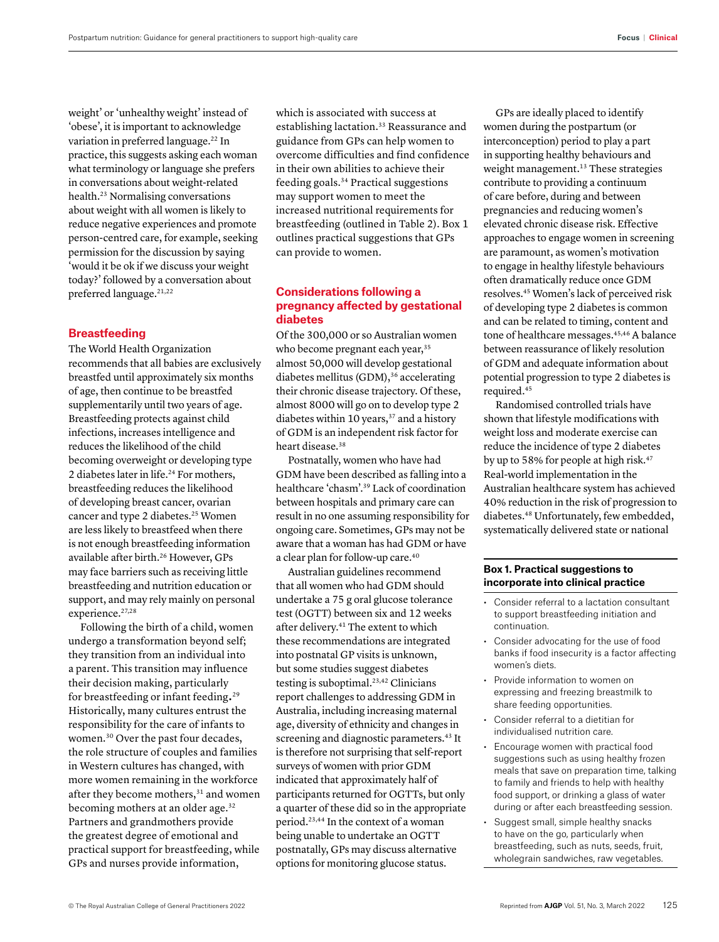weight' or 'unhealthy weight' instead of 'obese', it is important to acknowledge variation in preferred language.<sup>22</sup> In practice, this suggests asking each woman what terminology or language she prefers in conversations about weight-related health.23 Normalising conversations about weight with all women is likely to reduce negative experiences and promote person-centred care, for example, seeking permission for the discussion by saying 'would it be ok if we discuss your weight today?' followed by a conversation about preferred language.<sup>21,22</sup>

# **Breastfeeding**

The World Health Organization recommends that all babies are exclusively breastfed until approximately six months of age, then continue to be breastfed supplementarily until two years of age. Breastfeeding protects against child infections, increases intelligence and reduces the likelihood of the child becoming overweight or developing type 2 diabetes later in life.<sup>24</sup> For mothers, breastfeeding reduces the likelihood of developing breast cancer, ovarian cancer and type 2 diabetes.<sup>25</sup> Women are less likely to breastfeed when there is not enough breastfeeding information available after birth.<sup>26</sup> However, GPs may face barriers such as receiving little breastfeeding and nutrition education or support, and may rely mainly on personal experience.<sup>27,28</sup>

Following the birth of a child, women undergo a transformation beyond self; they transition from an individual into a parent. This transition may influence their decision making, particularly for breastfeeding or infant feeding.29 Historically, many cultures entrust the responsibility for the care of infants to women.30 Over the past four decades, the role structure of couples and families in Western cultures has changed, with more women remaining in the workforce after they become mothers,<sup>31</sup> and women becoming mothers at an older age.<sup>32</sup> Partners and grandmothers provide the greatest degree of emotional and practical support for breastfeeding, while GPs and nurses provide information,

which is associated with success at establishing lactation.<sup>33</sup> Reassurance and guidance from GPs can help women to overcome difficulties and find confidence in their own abilities to achieve their feeding goals.34 Practical suggestions may support women to meet the increased nutritional requirements for breastfeeding (outlined in Table 2). Box 1 outlines practical suggestions that GPs can provide to women.

# **Considerations following a pregnancy affected by gestational diabetes**

Of the 300,000 or so Australian women who become pregnant each year,<sup>35</sup> almost 50,000 will develop gestational diabetes mellitus (GDM),<sup>36</sup> accelerating their chronic disease trajectory. Of these, almost 8000 will go on to develop type 2 diabetes within 10 years,<sup>37</sup> and a history of GDM is an independent risk factor for heart disease.<sup>38</sup>

Postnatally, women who have had GDM have been described as falling into a healthcare 'chasm'.39 Lack of coordination between hospitals and primary care can result in no one assuming responsibility for ongoing care. Sometimes, GPs may not be aware that a woman has had GDM or have a clear plan for follow-up care.40

Australian guidelines recommend that all women who had GDM should undertake a 75 g oral glucose tolerance test (OGTT) between six and 12 weeks after delivery.41 The extent to which these recommendations are integrated into postnatal GP visits is unknown, but some studies suggest diabetes testing is suboptimal.<sup>23,42</sup> Clinicians report challenges to addressing GDM in Australia, including increasing maternal age, diversity of ethnicity and changes in screening and diagnostic parameters.<sup>43</sup> It is therefore not surprising that self-report surveys of women with prior GDM indicated that approximately half of participants returned for OGTTs, but only a quarter of these did so in the appropriate period.23,44 In the context of a woman being unable to undertake an OGTT postnatally, GPs may discuss alternative options for monitoring glucose status.

GPs are ideally placed to identify women during the postpartum (or interconception) period to play a part in supporting healthy behaviours and weight management.<sup>13</sup> These strategies contribute to providing a continuum of care before, during and between pregnancies and reducing women's elevated chronic disease risk. Effective approaches to engage women in screening are paramount, as women's motivation to engage in healthy lifestyle behaviours often dramatically reduce once GDM resolves.45 Women's lack of perceived risk of developing type 2 diabetes is common and can be related to timing, content and tone of healthcare messages.<sup>45,46</sup> A balance between reassurance of likely resolution of GDM and adequate information about potential progression to type 2 diabetes is required.<sup>45</sup>

Randomised controlled trials have shown that lifestyle modifications with weight loss and moderate exercise can reduce the incidence of type 2 diabetes by up to 58% for people at high risk.<sup>47</sup> Real-world implementation in the Australian healthcare system has achieved 40% reduction in the risk of progression to diabetes.48 Unfortunately, few embedded, systematically delivered state or national

#### **Box 1. Practical suggestions to incorporate into clinical practice**

- Consider referral to a lactation consultant to support breastfeeding initiation and continuation.
- Consider advocating for the use of food banks if food insecurity is a factor affecting women's diets.
- Provide information to women on expressing and freezing breastmilk to share feeding opportunities.
- Consider referral to a dietitian for individualised nutrition care.
- Encourage women with practical food suggestions such as using healthy frozen meals that save on preparation time, talking to family and friends to help with healthy food support, or drinking a glass of water during or after each breastfeeding session.
- Suggest small, simple healthy snacks to have on the go, particularly when breastfeeding, such as nuts, seeds, fruit, wholegrain sandwiches, raw vegetables.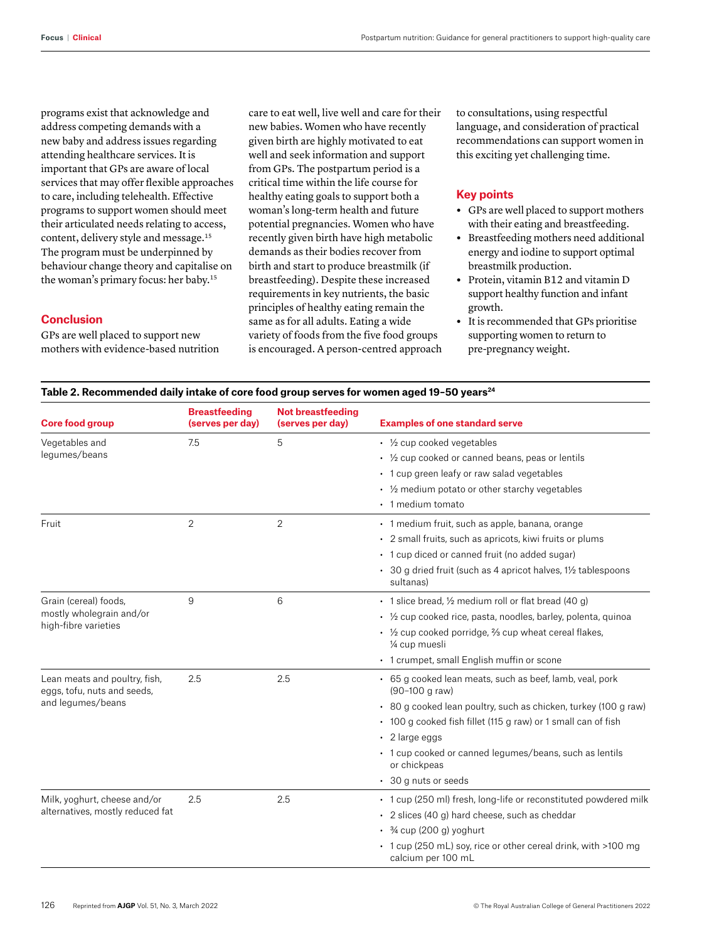programs exist that acknowledge and address competing demands with a new baby and address issues regarding attending healthcare services. It is important that GPs are aware of local services that may offer flexible approaches to care, including telehealth. Effective programs to support women should meet their articulated needs relating to access, content, delivery style and message.15 The program must be underpinned by behaviour change theory and capitalise on the woman's primary focus: her baby.15

### **Conclusion**

GPs are well placed to support new mothers with evidence-based nutrition care to eat well, live well and care for their new babies. Women who have recently given birth are highly motivated to eat well and seek information and support from GPs. The postpartum period is a critical time within the life course for healthy eating goals to support both a woman's long-term health and future potential pregnancies. Women who have recently given birth have high metabolic demands as their bodies recover from birth and start to produce breastmilk (if breastfeeding). Despite these increased requirements in key nutrients, the basic principles of healthy eating remain the same as for all adults. Eating a wide variety of foods from the five food groups is encouraged. A person-centred approach to consultations, using respectful language, and consideration of practical recommendations can support women in this exciting yet challenging time.

# **Key points**

- **•** GPs are well placed to support mothers with their eating and breastfeeding.
- **•** Breastfeeding mothers need additional energy and iodine to support optimal breastmilk production.
- **•** Protein, vitamin B12 and vitamin D support healthy function and infant growth.
- **•** It is recommended that GPs prioritise supporting women to return to pre-pregnancy weight.

#### Table 2. Recommended daily intake of core food group serves for women aged 19-50 years<sup>24</sup>

| <b>Core food group</b>                                                            | <b>Breastfeeding</b><br>(serves per day) | <b>Not breastfeeding</b><br>(serves per day) | <b>Examples of one standard serve</b>                                                                                                                                                                                                                                                                                                     |  |
|-----------------------------------------------------------------------------------|------------------------------------------|----------------------------------------------|-------------------------------------------------------------------------------------------------------------------------------------------------------------------------------------------------------------------------------------------------------------------------------------------------------------------------------------------|--|
| Vegetables and<br>lequmes/beans                                                   | 7.5                                      | 5                                            | $\cdot$ 1/ <sub>2</sub> cup cooked vegetables<br>• 1/2 cup cooked or canned beans, peas or lentils<br>• 1 cup green leafy or raw salad vegetables                                                                                                                                                                                         |  |
|                                                                                   |                                          |                                              | 1/2 medium potato or other starchy vegetables<br>• 1 medium tomato                                                                                                                                                                                                                                                                        |  |
| Fruit                                                                             | $\overline{2}$                           | 2                                            | • 1 medium fruit, such as apple, banana, orange<br>• 2 small fruits, such as apricots, kiwi fruits or plums<br>• 1 cup diced or canned fruit (no added sugar)<br>• 30 g dried fruit (such as 4 apricot halves, 1½ tablespoons<br>sultanas)                                                                                                |  |
| Grain (cereal) foods.<br>mostly wholegrain and/or<br>high-fibre varieties         | 9                                        | 6                                            | • 1 slice bread, 1/2 medium roll or flat bread (40 q)<br>• 1/2 cup cooked rice, pasta, noodles, barley, polenta, quinoa<br>$\cdot$ 1/ <sub>2</sub> cup cooked porridge, $\frac{2}{3}$ cup wheat cereal flakes,<br>1/4 cup muesli<br>• 1 crumpet, small English muffin or scone                                                            |  |
| Lean meats and poultry, fish,<br>eggs, tofu, nuts and seeds,<br>and legumes/beans | 2.5                                      | 2.5                                          | • 65 g cooked lean meats, such as beef, lamb, veal, pork<br>(90-100 g raw)<br>• 80 g cooked lean poultry, such as chicken, turkey (100 g raw)<br>• 100 g cooked fish fillet (115 g raw) or 1 small can of fish<br>$\cdot$ 2 large eggs<br>• 1 cup cooked or canned legumes/beans, such as lentils<br>or chickpeas<br>• 30 g nuts or seeds |  |
| Milk, yoghurt, cheese and/or<br>alternatives, mostly reduced fat                  | 2.5                                      | 2.5                                          | • 1 cup (250 ml) fresh, long-life or reconstituted powdered milk<br>• 2 slices (40 g) hard cheese, such as cheddar<br>$\frac{3}{4}$ cup (200 g) yoghurt<br>• 1 cup (250 mL) soy, rice or other cereal drink, with >100 mg<br>calcium per 100 mL                                                                                           |  |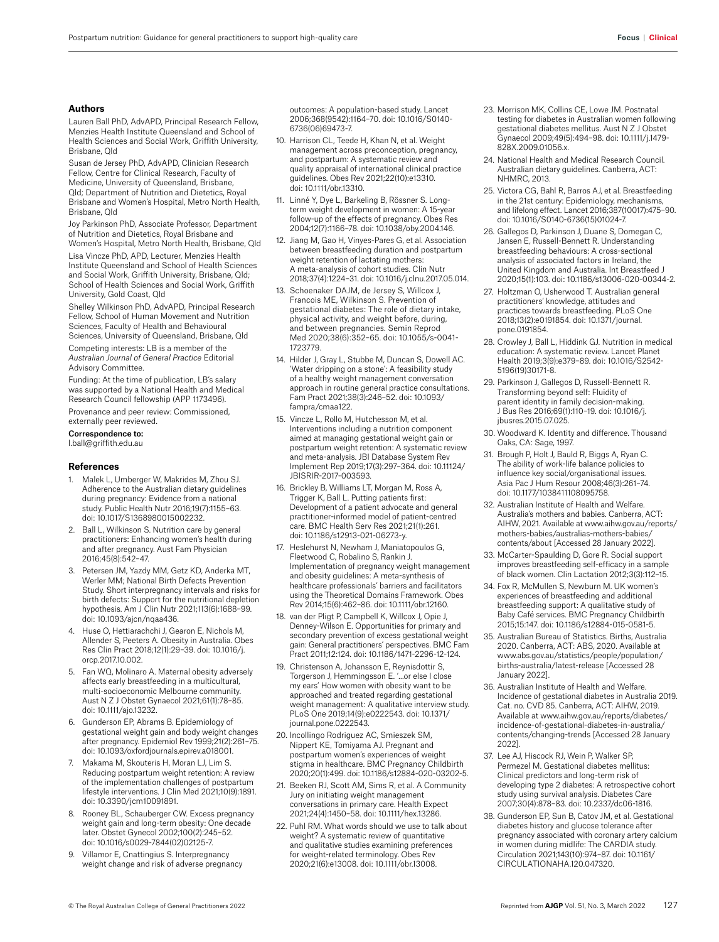#### **Authors**

Lauren Ball PhD, AdvAPD, Principal Research Fellow, Menzies Health Institute Queensland and School of Health Sciences and Social Work, Griffith University, Brisbane, Qld

Susan de Jersey PhD, AdvAPD, Clinician Research Fellow, Centre for Clinical Research, Faculty of Medicine, University of Queensland, Brisbane, Qld; Department of Nutrition and Dietetics, Royal Brisbane and Women's Hospital, Metro North Health, Brisbane, Qld

Joy Parkinson PhD, Associate Professor, Department of Nutrition and Dietetics, Royal Brisbane and Women's Hospital, Metro North Health, Brisbane, Qld

Lisa Vincze PhD, APD, Lecturer, Menzies Health Institute Queensland and School of Health Sciences and Social Work, Griffith University, Brisbane, Qld; School of Health Sciences and Social Work, Griffith University, Gold Coast, Qld

Shelley Wilkinson PhD, AdvAPD, Principal Research Fellow, School of Human Movement and Nutrition Sciences, Faculty of Health and Behavioural Sciences, University of Queensland, Brisbane, Qld

Competing interests: LB is a member of the *Australian Journal of General Practice* Editorial Advisory Committee.

Funding: At the time of publication, LB's salary was supported by a National Health and Medical Research Council fellowship (APP 1173496).

Provenance and peer review: Commissioned, externally peer reviewed.

Correspondence to:

l.ball@griffith.edu.au

#### **References**

- 1. Malek L, Umberger W, Makrides M, Zhou SJ. Adherence to the Australian dietary guidelines during pregnancy: Evidence from a national study. Public Health Nutr 2016;19(7):1155–63. doi: 10.1017/S1368980015002232.
- 2. Ball L, Wilkinson S. Nutrition care by general practitioners: Enhancing women's health during and after pregnancy. Aust Fam Physician 2016;45(8):542–47.
- Petersen JM, Yazdy MM, Getz KD, Anderka MT, Werler MM; National Birth Defects Prevention Study. Short interpregnancy intervals and risks for birth defects: Support for the nutritional depletion hypothesis. Am J Clin Nutr 2021;113(6):1688–99. doi: 10.1093/ajcn/nqaa436.
- 4. Huse O, Hettiarachchi J, Gearon E, Nichols M, Allender S, Peeters A. Obesity in Australia. Obes Res Clin Pract 2018;12(1):29–39. doi: 10.1016/j. orcp.2017.10.002.
- Fan WQ, Molinaro A. Maternal obesity adversely affects early breastfeeding in a multicultural, multi-socioeconomic Melbourne community. Aust N Z J Obstet Gynaecol 2021;61(1):78–85. doi: 10.1111/ajo.13232.
- 6. Gunderson EP, Abrams B. Epidemiology of gestational weight gain and body weight changes after pregnancy. Epidemiol Rev 1999;21(2):261–75. doi: 10.1093/oxfordjournals.epirev.a018001.
- Makama M, Skouteris H, Moran LJ, Lim S. Reducing postpartum weight retention: A review of the implementation challenges of postpartum lifestyle interventions. J Clin Med 2021;10(9):1891. doi: 10.3390/jcm10091891.
- 8. Rooney BL, Schauberger CW. Excess pregnancy weight gain and long-term obesity: One decade later. Obstet Gynecol 2002;100(2):245–52. doi: 10.1016/s0029-7844(02)02125-7.
- 9. Villamor E, Cnattingius S. Interpregnancy weight change and risk of adverse pregnancy

outcomes: A population-based study. Lancet 2006;368(9542):1164–70. doi: 10.1016/S0140- 6736(06)69473-7.

- 10. Harrison CL, Teede H, Khan N, et al. Weight management across preconception, pregnancy, and postpartum: A systematic review and quality appraisal of international clinical practice guidelines. Obes Rev 2021;22(10):e13310. doi: 10.1111/obr.13310.
- 11. Linné Y, Dye L, Barkeling B, Rössner S. Longterm weight development in women: A 15-year follow-up of the effects of pregnancy. Obes Res 2004;12(7):1166–78. doi: 10.1038/oby.2004.146.
- 12. Jiang M, Gao H, Vinyes-Pares G, et al. Association between breastfeeding duration and postpartum weight retention of lactating mothers: A meta-analysis of cohort studies. Clin Nutr 2018;37(4):1224–31. doi: 10.1016/j.clnu.2017.05.014.
- 13. Schoenaker DAJM, de Jersey S, Willcox J, Francois ME, Wilkinson S. Prevention of gestational diabetes: The role of dietary intake, physical activity, and weight before, during, and between pregnancies. Semin Reprod Med 2020;38(6):352–65. doi: 10.1055/s-0041- 1723779.
- 14. Hilder J, Gray L, Stubbe M, Duncan S, Dowell AC. 'Water dripping on a stone': A feasibility study of a healthy weight management conversation approach in routine general practice consultations. Fam Pract 2021;38(3):246–52. doi: 10.1093/ fampra/cmaa122.
- 15. Vincze L, Rollo M, Hutchesson M, et al. Interventions including a nutrition component aimed at managing gestational weight gain or postpartum weight retention: A systematic review and meta-analysis. JBI Database System Rev Implement Rep 2019;17(3):297–364. doi: 10.11124/ JBISRIR-2017-003593.
- 16. Brickley B, Williams LT, Morgan M, Ross A, Trigger K, Ball L. Putting patients first: Development of a patient advocate and general practitioner-informed model of patient-centred care. BMC Health Serv Res 2021;21(1):261. doi: 10.1186/s12913-021-06273-y.
- 17. Heslehurst N, Newham J, Maniatopoulos G, Fleetwood C, Robalino S, Rankin J. Implementation of pregnancy weight management and obesity guidelines: A meta-synthesis of healthcare professionals' barriers and facilitators using the Theoretical Domains Framework. Obes Rev 2014;15(6):462–86. doi: 10.1111/obr.12160.
- 18. van der Pligt P, Campbell K, Willcox J, Opie J, Denney-Wilson E. Opportunities for primary and secondary prevention of excess gestational weight gain: General practitioners' perspectives. BMC Fam Pract 2011;12:124. doi: 10.1186/1471-2296-12-124.
- 19. Christenson A, Johansson E, Reynisdottir S, Torgerson J, Hemmingsson E. '…or else I close my ears' How women with obesity want to be approached and treated regarding gestational weight management: A qualitative interview study. PLoS One 2019;14(9):e0222543. doi: 10.1371/ journal.pone.0222543.
- 20. Incollingo Rodriguez AC, Smieszek SM, Nippert KE, Tomiyama AJ. Pregnant and postpartum women's experiences of weight stigma in healthcare. BMC Pregnancy Childbirth 2020;20(1):499. doi: 10.1186/s12884-020-03202-5.
- 21. Beeken RJ, Scott AM, Sims R, et al. A Community Jury on initiating weight management conversations in primary care. Health Expect 2021;24(4):1450–58. doi: 10.1111/hex.13286.
- 22. Puhl RM. What words should we use to talk about weight? A systematic review of quantitative and qualitative studies examining preferences for weight-related terminology. Obes Rev 2020;21(6):e13008. doi: 10.1111/obr.13008.
- 23. Morrison MK, Collins CE, Lowe JM. Postnatal testing for diabetes in Australian women following gestational diabetes mellitus. Aust N Z J Obstet Gynaecol 2009;49(5):494–98. doi: 10.1111/j.1479- 828X.2009.01056.x.
- 24. National Health and Medical Research Council. Australian dietary guidelines. Canberra, ACT: NHMRC, 2013.
- 25. Victora CG, Bahl R, Barros AJ, et al. Breastfeeding in the 21st century: Epidemiology, mechanisms, and lifelong effect. Lancet 2016;387(10017):475–90. doi: 10.1016/S0140-6736(15)01024-7.
- 26. Gallegos D, Parkinson J, Duane S, Domegan C, Jansen E, Russell-Bennett R. Understanding breastfeeding behaviours: A cross-sectional analysis of associated factors in Ireland, the United Kingdom and Australia. Int Breastfeed J 2020;15(1):103. doi: 10.1186/s13006-020-00344-2.
- 27. Holtzman O, Usherwood T. Australian general practitioners' knowledge, attitudes and practices towards breastfeeding. PLoS One 2018;13(2):e0191854. doi: 10.1371/journal. pone.0191854.
- 28. Crowley J, Ball L, Hiddink GJ. Nutrition in medical education: A systematic review. Lancet Planet Health 2019;3(9):e379–89. doi: 10.1016/S2542- 5196(19)30171-8.
- 29. Parkinson J, Gallegos D, Russell-Bennett R. Transforming beyond self: Fluidity of parent identity in family decision-making. J Bus Res 2016;69(1):110–19. doi: 10.1016/j. jbusres.2015.07.025.
- 30. Woodward K. Identity and difference. Thousand Oaks, CA: Sage, 1997.
- 31. Brough P, Holt J, Bauld R, Biggs A, Ryan C. The ability of work-life balance policies to influence key social/organisational issues. Asia Pac J Hum Resour 2008;46(3):261–74. doi: 10.1177/1038411108095758.
- 32. Australian Institute of Health and Welfare. Australia's mothers and babies. Canberra, ACT: AIHW, 2021. Available at www.aihw.gov.au/reports/ mothers-babies/australias-mothers-babies/ contents/about [Accessed 28 January 2022].
- 33. McCarter-Spaulding D, Gore R. Social support improves breastfeeding self-efficacy in a sample of black women. Clin Lactation 2012;3(3):112–15.
- 34. Fox R, McMullen S, Newburn M. UK women's experiences of breastfeeding and additional breastfeeding support: A qualitative study of Baby Café services. BMC Pregnancy Childbirth 2015;15:147. doi: 10.1186/s12884-015-0581-5.
- 35. Australian Bureau of Statistics. Births, Australia 2020. Canberra, ACT: ABS, 2020. Available at www.abs.gov.au/statistics/people/population/ births-australia/latest-release [Accessed 28 January 2022].
- 36. Australian Institute of Health and Welfare. Incidence of gestational diabetes in Australia 2019. Cat. no. CVD 85. Canberra, ACT: AIHW, 2019. Available at www.aihw.gov.au/reports/diabetes/ incidence-of-gestational-diabetes-in-australia/ contents/changing-trends [Accessed 28 January 2022].
- 37. Lee AJ, Hiscock RJ, Wein P, Walker SP, Permezel M. Gestational diabetes mellitus: Clinical predictors and long-term risk of developing type 2 diabetes: A retrospective cohort study using survival analysis. Diabetes Care 2007;30(4):878–83. doi: 10.2337/dc06-1816.
- 38. Gunderson EP, Sun B, Catov JM, et al. Gestational diabetes history and glucose tolerance after pregnancy associated with coronary artery calcium in women during midlife: The CARDIA study. Circulation 2021;143(10):974–87. doi: 10.1161/ CIRCULATIONAHA.120.047320.